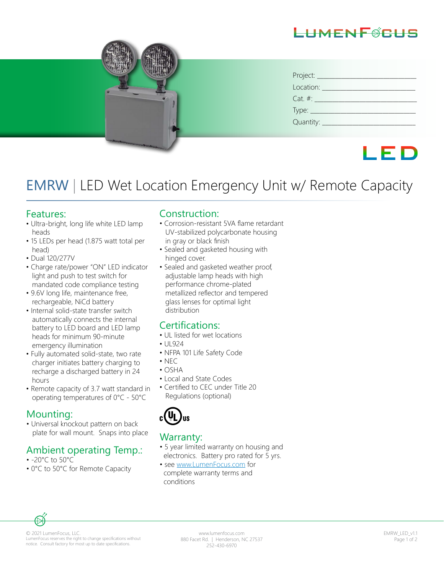# $-HMFMF\#F$



| Project:                       |
|--------------------------------|
| Location:                      |
| $Cat. \#:$                     |
| Type: $\overline{\phantom{a}}$ |
| Quantity: _                    |

# LED

# EMRW | LED Wet Location Emergency Unit w/ Remote Capacity

#### Features:

- Ultra-bright, long life white LED lamp heads
- 15 LEDs per head (1.875 watt total per head)
- Dual 120/277V
- Charge rate/power "ON" LED indicator light and push to test switch for mandated code compliance testing
- 9.6V long life, maintenance free, rechargeable, NiCd battery
- Internal solid-state transfer switch automatically connects the internal battery to LED board and LED lamp heads for minimum 90-minute emergency illumination
- Fully automated solid-state, two rate charger initiates battery charging to recharge a discharged battery in 24 hours
- Remote capacity of 3.7 watt standard in operating temperatures of 0°C - 50°C

#### Mounting:

• Universal knockout pattern on back plate for wall mount. Snaps into place

#### Ambient operating Temp.:

- -20°C to 50°C
- 0°C to 50°C for Remote Capacity

#### Construction:

- Corrosion-resistant 5VA flame retardant UV-stabilized polycarbonate housing in gray or black finish
- Sealed and gasketed housing with hinged cover.
- Sealed and gasketed weather proof, adjustable lamp heads with high performance chrome-plated metallized reflector and tempered glass lenses for optimal light distribution

#### Certifications:

- UL listed for wet locations
- UL924
- NFPA 101 Life Safety Code
- $\cdot$  NEC
- OSHA
- Local and State Codes
- Certified to CEC under Title 20 Regulations (optional)



#### Warranty:

- 5 year limited warranty on housing and electronics. Battery pro rated for 5 yrs.
- see www.LumenFocus.com for complete warranty terms and conditions



© 2021 LumenFocus, LLC. LumenFocus reserves the right to change specifications without notice. Consult factory for most up to date specifications.

www.lumenfocus.com 880 Facet Rd. | Henderson, NC 27537 252-430-6970

EMRW\_LED\_v1.1 Page 1 of 2